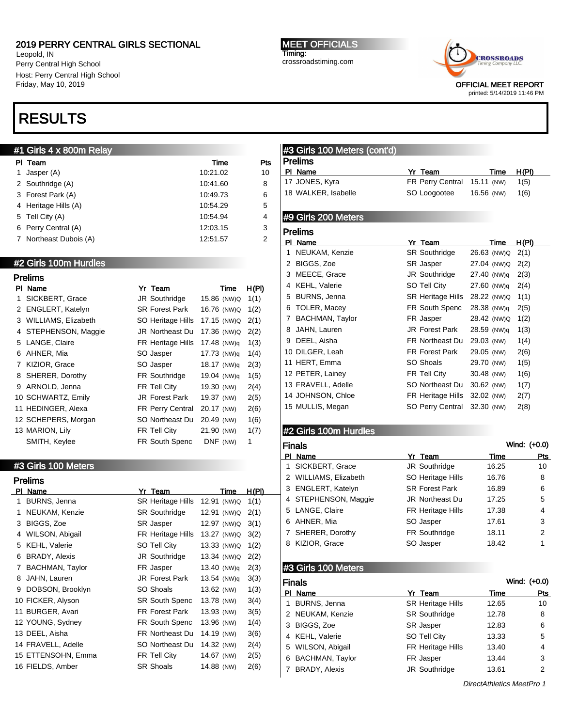Leopold, IN Perry Central High School Host: Perry Central High School Friday, May 10, 2019

# RESULTS

## #1 Girls 4 x 800m Relay

| PI. | Team                   | Time     | Pts |
|-----|------------------------|----------|-----|
|     | Jasper (A)             | 10:21.02 | 10  |
|     | 2 Southridge (A)       | 10:41.60 | 8   |
|     | 3 Forest Park (A)      | 10:49.73 | 6   |
|     | 4 Heritage Hills (A)   | 10:54.29 | 5   |
|     | 5 Tell City (A)        | 10:54.94 | 4   |
|     | 6 Perry Central (A)    | 12:03.15 | 3   |
|     | 7 Northeast Dubois (A) | 12:51.57 | 2   |

#### #2 Girls 100m Hurdles

|              | <b>Prelims</b>      |                        |             |             |              |
|--------------|---------------------|------------------------|-------------|-------------|--------------|
| <b>PI</b>    | Name                | Yr Team                |             | Time        | <u>H(PI)</u> |
| 1            | SICKBERT, Grace     | JR Southridge          |             | 15.86 (NW)Q | 1(1)         |
| $\mathbf{2}$ | ENGLERT, Katelyn    | <b>SR Forest Park</b>  | 16.76 (NW)Q |             | 1(2)         |
| 3            | WILLIAMS, Elizabeth | SO Heritage Hills      | 17.15 (NW)Q |             | 2(1)         |
| 4            | STEPHENSON, Maggie  | <b>JR Northeast Du</b> | 17.36 (NW)Q |             | 2(2)         |
| 5            | LANGE, Claire       | FR Heritage Hills      | 17.48 (NW)q |             | 1(3)         |
| 6            | AHNER, Mia          | SO Jasper              | 17.73 (NW)q |             | 1(4)         |
| 7            | KIZIOR, Grace       | SO Jasper              | 18.17 (NW)q |             | 2(3)         |
| 8            | SHERER, Dorothy     | <b>FR Southridge</b>   | 19.04 (NW)g |             | 1(5)         |
| 9            | ARNOLD, Jenna       | FR Tell City           | 19.30 (NW)  |             | 2(4)         |
|              | 10 SCHWARTZ, Emily  | <b>JR Forest Park</b>  | 19.37 (NW)  |             | 2(5)         |
|              | 11 HEDINGER, Alexa  | FR Perry Central       | 20.17 (NW)  |             | 2(6)         |
|              | 12 SCHEPERS, Morgan | SO Northeast Du        | 20.49 (NW)  |             | 1(6)         |
|              | 13 MARION, Lily     | FR Tell City           | 21.90 (NW)  |             | 1(7)         |
|              | SMITH, Keylee       | <b>FR South Spenc</b>  | DNF (NW)    |             | 1            |

#### #3 Girls 100 Meters

|    | Prelims                |                        |             |       |  |
|----|------------------------|------------------------|-------------|-------|--|
| ΡI | Name                   | Yr Team                | Time        | H(PI) |  |
| 1  | <b>BURNS, Jenna</b>    | SR Heritage Hills      | 12.91 (NW)Q | 1(1)  |  |
| 1  | NEUKAM, Kenzie         | <b>SR Southridge</b>   | 12.91 (NW)Q | 2(1)  |  |
| 3  | <b>BIGGS, Zoe</b>      | <b>SR</b> Jasper       | 12.97 (NW)Q | 3(1)  |  |
| 4  | WILSON, Abigail        | FR Heritage Hills      | 13.27 (NW)Q | 3(2)  |  |
| 5  | KEHL, Valerie          | SO Tell City           | 13.33 (NW)Q | 1(2)  |  |
| 6  | <b>BRADY, Alexis</b>   | JR Southridge          | 13.34 (NW)Q | 2(2)  |  |
| 7  | <b>BACHMAN, Taylor</b> | FR Jasper              | 13.40 (NW)q | 2(3)  |  |
| 8  | JAHN, Lauren           | <b>JR Forest Park</b>  | 13.54 (NW)q | 3(3)  |  |
| 9  | DOBSON, Brooklyn       | SO Shoals              | 13.62 (NW)  | 1(3)  |  |
|    | 10 FICKER, Alyson      | <b>SR South Spenc</b>  | 13.78 (NW)  | 3(4)  |  |
|    | 11 BURGER, Avari       | <b>FR Forest Park</b>  | 13.93 (NW)  | 3(5)  |  |
|    | 12 YOUNG, Sydney       | FR South Spenc         | 13.96 (NW)  | 1(4)  |  |
|    | 13 DEEL, Aisha         | <b>FR Northeast Du</b> | 14.19 (NW)  | 3(6)  |  |
|    | 14 FRAVELL, Adelle     | SO Northeast Du        | 14.32 (NW)  | 2(4)  |  |
|    | 15 ETTENSOHN, Emma     | FR Tell City           | 14.67 (NW)  | 2(5)  |  |
|    | 16 FIELDS, Amber       | <b>SR Shoals</b>       | 14.88 (NW)  | 2(6)  |  |
|    |                        |                        |             |       |  |

MEET OFFICIALS Timing: crossroadstiming.com



printed: 5/14/2019 11:46 PM

### #3 Girls 100 Meters (cont'd) Prelims

| PI Name             | Yr Team                     | Time       | H(PI) |
|---------------------|-----------------------------|------------|-------|
| 17 JONES, Kyra      | FR Perry Central 15.11 (NW) |            | 1(5)  |
| 18 WALKER, Isabelle | SO Loogootee                | 16.56 (NW) | 1(6)  |

### #9 Girls 200 Meters

|    | <b>Prelims</b>         |                         |            |             |       |
|----|------------------------|-------------------------|------------|-------------|-------|
| ΡI | Name                   | Yr Team                 |            | Time        | H(PI) |
| 1  | NEUKAM, Kenzie         | <b>SR Southridge</b>    |            | 26.63 (NW)Q | 2(1)  |
| 2  | BIGGS, Zoe             | SR Jasper               |            | 27.04 (NW)Q | 2(2)  |
| 3  | MEECE, Grace           | JR Southridge           |            | 27.40 (NW)q | 2(3)  |
| 4  | <b>KEHL, Valerie</b>   | SO Tell City            |            | 27.60 (NW)q | 2(4)  |
| 5  | <b>BURNS, Jenna</b>    | SR Heritage Hills       |            | 28.22 (NW)Q | 1(1)  |
| 6  | TOLER, Macey           | FR South Spenc          |            | 28.38 (NW)q | 2(5)  |
| 7  | <b>BACHMAN, Taylor</b> | FR Jasper               |            | 28.42 (NW)Q | 1(2)  |
| 8  | JAHN, Lauren           | <b>JR</b> Forest Park   |            | 28.59 (NW)q | 1(3)  |
| 9  | DEEL, Aisha            | FR Northeast Du         | 29.03 (NW) |             | 1(4)  |
|    | 10 DILGER, Leah        | <b>FR Forest Park</b>   | 29.05 (NW) |             | 2(6)  |
|    | 11 HERT, Emma          | SO Shoals               | 29.70 (NW) |             | 1(5)  |
|    | 12 PETER, Lainey       | FR Tell City            | 30.48 (NW) |             | 1(6)  |
|    | 13 FRAVELL, Adelle     | SO Northeast Du         | 30.62 (NW) |             | 1(7)  |
|    | 14 JOHNSON, Chloe      | FR Heritage Hills       | 32.02 (NW) |             | 2(7)  |
|    | 15 MULLIS, Megan       | <b>SO Perry Central</b> | 32.30 (NW) |             | 2(8)  |
|    |                        |                         |            |             |       |

### #2 Girls 100m Hurdles

|   | Wind: (+0.0)<br>Finals |                          |       |     |  |  |
|---|------------------------|--------------------------|-------|-----|--|--|
|   | PI Name                | Yr Team                  | Time  | Pts |  |  |
|   | 1 SICKBERT, Grace      | <b>JR Southridge</b>     | 16.25 | 10  |  |  |
|   | 2 WILLIAMS, Elizabeth  | <b>SO Heritage Hills</b> | 16.76 | 8   |  |  |
|   | 3 ENGLERT, Katelyn     | <b>SR Forest Park</b>    | 16.89 | 6   |  |  |
|   | 4 STEPHENSON, Maggie   | JR Northeast Du          | 17.25 | 5   |  |  |
|   | 5 LANGE, Claire        | FR Heritage Hills        | 17.38 | 4   |  |  |
|   | 6 AHNER, Mia           | SO Jasper                | 17.61 | 3   |  |  |
|   | 7 SHERER, Dorothy      | <b>FR Southridge</b>     | 18.11 | 2   |  |  |
| 8 | KIZIOR, Grace          | SO Jasper                | 18.42 | 1   |  |  |
|   |                        |                          |       |     |  |  |

# #3 Girls 100 Meters

|   | Wind: (+0.0)<br><b>Finals</b> |                          |       |     |  |  |
|---|-------------------------------|--------------------------|-------|-----|--|--|
|   | PI Name                       | Yr Team                  | Time  | Pts |  |  |
| 1 | <b>BURNS, Jenna</b>           | <b>SR Heritage Hills</b> | 12.65 | 10  |  |  |
|   | 2 NEUKAM, Kenzie              | <b>SR Southridge</b>     | 12.78 | 8   |  |  |
|   | 3 BIGGS, Zoe                  | <b>SR</b> Jasper         | 12.83 | 6   |  |  |
|   | 4 KEHL, Valerie               | SO Tell City             | 13.33 | 5   |  |  |
|   | 5 WILSON, Abigail             | <b>FR Heritage Hills</b> | 13.40 | 4   |  |  |
| 6 | <b>BACHMAN, Taylor</b>        | FR Jasper                | 13.44 | 3   |  |  |
|   | <b>BRADY, Alexis</b>          | JR Southridge            | 13.61 | 2   |  |  |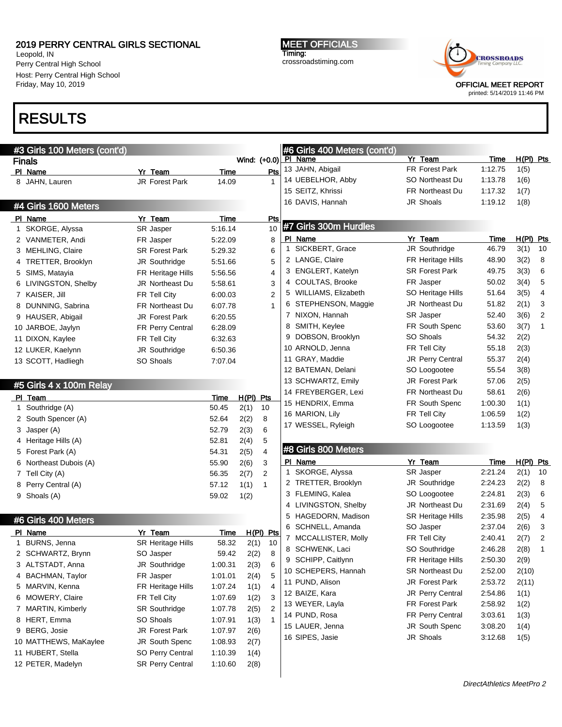Leopold, IN Perry Central High School Host: Perry Central High School Friday, May 10, 2019

MEET OFFICIALS Timing: crossroadstiming.com



printed: 5/14/2019 11:46 PM

# RESULTS

| #3 Girls 100 Meters (cont'd) |                         |             |                        |                |              | #6 Girls 400 Meters (cont'd) |                          |         |             |                |
|------------------------------|-------------------------|-------------|------------------------|----------------|--------------|------------------------------|--------------------------|---------|-------------|----------------|
| <b>Finals</b>                |                         |             | Wind: (+0.0) PI Name   |                |              |                              | Yr Team                  | Time    | $H(PI)$ Pts |                |
| PI Name                      | Yr Team                 | <b>Time</b> |                        | Pts            |              | 13 JAHN, Abigail             | <b>FR Forest Park</b>    | 1:12.75 | 1(5)        |                |
| 8 JAHN, Lauren               | JR Forest Park          | 14.09       |                        | 1              |              | 14 UEBELHOR, Abby            | SO Northeast Du          | 1:13.78 | 1(6)        |                |
|                              |                         |             |                        |                |              | 15 SEITZ, Khrissi            | <b>FR Northeast Du</b>   | 1:17.32 | 1(7)        |                |
| #4 Girls 1600 Meters         |                         |             |                        |                |              | 16 DAVIS, Hannah             | <b>JR Shoals</b>         | 1:19.12 | 1(8)        |                |
| PI Name                      | Yr Team                 | Time        |                        | <b>Pts</b>     |              |                              |                          |         |             |                |
| 1 SKORGE, Alyssa             | SR Jasper               | 5:16.14     |                        | 10             |              | #7 Girls 300m Hurdles        |                          |         |             |                |
| 2 VANMETER, Andi             | FR Jasper               | 5:22.09     |                        | 8              |              | PI Name                      | Yr Team                  | Time    | $H(PI)$ Pts |                |
| 3 MEHLING, Claire            | <b>SR Forest Park</b>   | 5:29.32     |                        | 6              | $\mathbf{1}$ | SICKBERT, Grace              | JR Southridge            | 46.79   | 3(1)        | 10             |
| 4 TRETTER, Brooklyn          | JR Southridge           | 5:51.66     |                        | 5              |              | 2 LANGE, Claire              | FR Heritage Hills        | 48.90   | 3(2)        | 8              |
| 5 SIMS, Matayia              | FR Heritage Hills       | 5:56.56     |                        | 4              |              | 3 ENGLERT, Katelyn           | <b>SR Forest Park</b>    | 49.75   | 3(3)        | 6              |
| 6 LIVINGSTON, Shelby         | JR Northeast Du         | 5:58.61     |                        | 3              |              | 4 COULTAS, Brooke            | FR Jasper                | 50.02   | 3(4)        | 5              |
| 7 KAISER, Jill               | FR Tell City            | 6:00.03     |                        | 2              |              | 5 WILLIAMS, Elizabeth        | SO Heritage Hills        | 51.64   | 3(5)        | 4              |
| 8 DUNNING, Sabrina           | FR Northeast Du         | 6:07.78     |                        | 1              |              | 6 STEPHENSON, Maggie         | JR Northeast Du          | 51.82   | 2(1)        | 3              |
| 9 HAUSER, Abigail            | JR Forest Park          | 6:20.55     |                        |                |              | 7 NIXON, Hannah              | SR Jasper                | 52.40   | 3(6)        | $\overline{2}$ |
| 10 JARBOE, Jaylyn            | FR Perry Central        | 6:28.09     |                        |                | 8            | SMITH, Keylee                | FR South Spenc           | 53.60   | 3(7)        | 1              |
| 11 DIXON, Kaylee             | FR Tell City            | 6:32.63     |                        |                | 9            | DOBSON, Brooklyn             | SO Shoals                | 54.32   | 2(2)        |                |
| 12 LUKER, Kaelynn            | JR Southridge           | 6:50.36     |                        |                |              | 10 ARNOLD, Jenna             | FR Tell City             | 55.18   | 2(3)        |                |
| 13 SCOTT, Hadliegh           | SO Shoals               | 7:07.04     |                        |                |              | 11 GRAY, Maddie              | JR Perry Central         | 55.37   | 2(4)        |                |
|                              |                         |             |                        |                |              | 12 BATEMAN, Delani           | SO Loogootee             | 55.54   | 3(8)        |                |
| #5 Girls 4 x 100m Relay      |                         |             |                        |                |              | 13 SCHWARTZ, Emily           | JR Forest Park           | 57.06   | 2(5)        |                |
| PI Team                      |                         | <u>Time</u> | $H(PI)$ Pts            |                |              | 14 FREYBERGER, Lexi          | FR Northeast Du          | 58.61   | 2(6)        |                |
| 1 Southridge (A)             |                         | 50.45       | 2(1)<br>10             |                |              | 15 HENDRIX, Emma             | FR South Spenc           | 1:00.30 | 1(1)        |                |
| 2 South Spencer (A)          |                         | 52.64       | 8<br>2(2)              |                |              | 16 MARION, Lily              | FR Tell City             | 1:06.59 | 1(2)        |                |
| 3 Jasper (A)                 |                         | 52.79       | 6<br>2(3)              |                |              | 17 WESSEL, Ryleigh           | SO Loogootee             | 1:13.59 | 1(3)        |                |
| 4 Heritage Hills (A)         |                         | 52.81       | 5<br>2(4)              |                |              |                              |                          |         |             |                |
| 5 Forest Park (A)            |                         | 54.31       | $\overline{4}$<br>2(5) |                |              | #8 Girls 800 Meters          |                          |         |             |                |
| 6 Northeast Dubois (A)       |                         | 55.90       | 3<br>2(6)              |                |              | PI Name                      | Yr Team                  | Time    | $H(PI)$ Pts |                |
| 7 Tell City (A)              |                         | 56.35       | 2(7)<br>$\overline{2}$ |                | 1            | SKORGE, Alyssa               | SR Jasper                | 2:21.24 | 2(1)        | 10             |
| 8 Perry Central (A)          |                         | 57.12       | $\mathbf{1}$<br>1(1)   |                |              | 2 TRETTER, Brooklyn          | JR Southridge            | 2:24.23 | 2(2)        | 8              |
| 9 Shoals (A)                 |                         | 59.02       | 1(2)                   |                | 3            | FLEMING, Kalea               | SO Loogootee             | 2:24.81 | 2(3)        | 6              |
|                              |                         |             |                        |                |              | 4 LIVINGSTON, Shelby         | JR Northeast Du          | 2:31.69 | 2(4)        | 5              |
|                              |                         |             |                        |                | 5            | HAGEDORN, Madison            | <b>SR Heritage Hills</b> | 2:35.98 | 2(5)        | 4              |
| #6 Girls 400 Meters          |                         |             |                        |                | 6            | SCHNELL, Amanda              | SO Jasper                | 2:37.04 | 2(6)        | 3              |
| PI Name                      | Yr Team                 | <u>Time</u> | H(PI) Pts              |                |              | 7 MCCALLISTER, Molly         | FR Tell City             | 2:40.41 | 2(7)        | $\overline{2}$ |
| 1 BURNS, Jenna               | SR Heritage Hills       | 58.32       | 2(1)                   | 10             | 8            | SCHWENK, Laci                | SO Southridge            | 2:46.28 | 2(8)        | 1              |
| 2 SCHWARTZ, Brynn            | SO Jasper               | 59.42       | 2(2)                   | 8              |              | 9 SCHIPP, Caitlynn           | FR Heritage Hills        | 2:50.30 | 2(9)        |                |
| 3 ALTSTADT, Anna             | JR Southridge           | 1:00.31     | 2(3)                   | 6              |              | 10 SCHEPERS, Hannah          | SR Northeast Du          | 2:52.00 | 2(10)       |                |
| 4 BACHMAN, Taylor            | FR Jasper               | 1:01.01     | 2(4)                   | 5              |              | 11 PUND, Alison              | JR Forest Park           | 2:53.72 | 2(11)       |                |
| 5 MARVIN, Kenna              | FR Heritage Hills       | 1:07.24     | 1(1)                   | 4              |              | 12 BAIZE, Kara               | JR Perry Central         | 2:54.86 | 1(1)        |                |
| 6 MOWERY, Claire             | FR Tell City            | 1:07.69     | 1(2)                   | 3              |              | 13 WEYER, Layla              | FR Forest Park           | 2:58.92 | 1(2)        |                |
| 7 MARTIN, Kimberly           | <b>SR Southridge</b>    | 1:07.78     | 2(5)                   | $\overline{2}$ |              | 14 PUND, Rosa                | FR Perry Central         | 3:03.61 | 1(3)        |                |
| 8 HERT, Emma                 | SO Shoals               | 1:07.91     | 1(3)                   | 1              |              | 15 LAUER, Jenna              | JR South Spenc           | 3:08.20 | 1(4)        |                |
| 9 BERG, Josie                | JR Forest Park          | 1:07.97     | 2(6)                   |                |              | 16 SIPES, Jasie              | JR Shoals                | 3:12.68 | 1(5)        |                |
| 10 MATTHEWS, MaKaylee        | JR South Spenc          | 1:08.93     | 2(7)                   |                |              |                              |                          |         |             |                |
| 11 HUBERT, Stella            | SO Perry Central        | 1:10.39     | 1(4)                   |                |              |                              |                          |         |             |                |
| 12 PETER, Madelyn            | <b>SR Perry Central</b> | 1:10.60     | 2(8)                   |                |              |                              |                          |         |             |                |
|                              |                         |             |                        |                |              |                              |                          |         |             |                |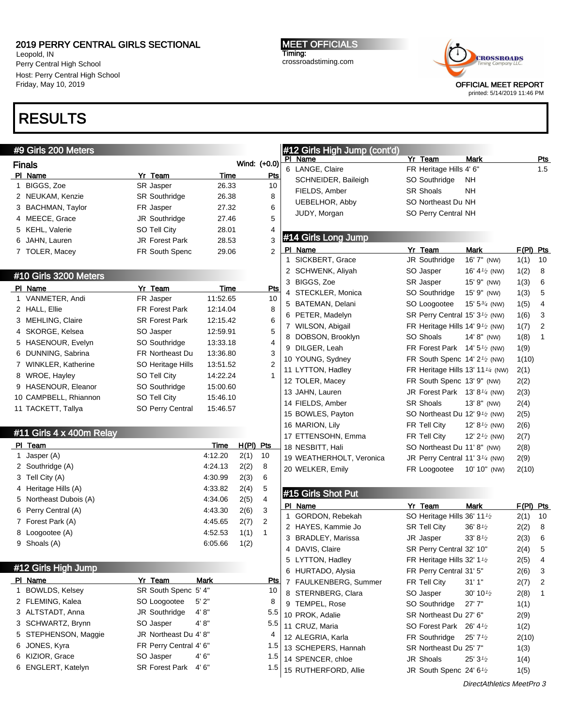Leopold, IN Perry Central High School Host: Perry Central High School Friday, May 10, 2019

# RESULTS

# MEET OFFICIALS Timing: crossroadstiming.com



printed: 5/14/2019 11:46 PM

| #9 Girls 200 Meters      |                        |          |              |                | #12 Girls High Jump (cont'd) |                                                            |                          |           |                |
|--------------------------|------------------------|----------|--------------|----------------|------------------------------|------------------------------------------------------------|--------------------------|-----------|----------------|
| <b>Finals</b>            |                        |          | Wind: (+0.0) |                | PI Name                      | Yr Team                                                    | Mark                     |           | <u>Pts</u>     |
| PI Name                  | Yr Team                | Time     |              | <u>Pts</u>     | 6 LANGE, Claire              | FR Heritage Hills 4' 6"                                    |                          |           | 1.5            |
| 1 BIGGS, Zoe             | SR Jasper              | 26.33    |              | 10             | SCHNEIDER, Baileigh          | SO Southridge                                              | NΗ                       |           |                |
| 2 NEUKAM, Kenzie         | <b>SR Southridge</b>   | 26.38    |              | 8              | FIELDS, Amber                | <b>SR Shoals</b>                                           | <b>NH</b>                |           |                |
| 3 BACHMAN, Taylor        | FR Jasper              | 27.32    |              | 6              | <b>UEBELHOR, Abby</b>        | SO Northeast Du NH                                         |                          |           |                |
| 4 MEECE, Grace           | JR Southridge          | 27.46    |              | 5              | JUDY, Morgan                 | SO Perry Central NH                                        |                          |           |                |
| 5 KEHL, Valerie          | SO Tell City           | 28.01    |              | 4              |                              |                                                            |                          |           |                |
| 6 JAHN, Lauren           | JR Forest Park         | 28.53    |              | 3              | #14 Girls Long Jump          |                                                            |                          |           |                |
|                          | FR South Spenc         | 29.06    |              | $\overline{2}$ | PI Name                      | Yr Team                                                    | <b>Mark</b>              | F(PI) Pts |                |
| 7 TOLER, Macey           |                        |          |              |                | 1 SICKBERT, Grace            | JR Southridge                                              | 16' 7" (NW)              | 1(1)      | 10             |
|                          |                        |          |              |                | 2 SCHWENK, Aliyah            | SO Jasper                                                  | 16' 4 $\frac{1}{2}$ (NW) | 1(2)      | 8              |
| #10 Girls 3200 Meters    |                        |          |              |                | 3 BIGGS, Zoe                 | SR Jasper                                                  | 15' 9" (NW)              | 1(3)      | 6              |
| PI Name                  | Yr Team                | Time     |              | <u>Pts</u>     | 4 STECKLER, Monica           | SO Southridge                                              | 15' 9" (NW)              | 1(3)      | 5              |
| 1 VANMETER, Andi         | FR Jasper              | 11:52.65 |              | 10             | 5 BATEMAN, Delani            | SO Loogootee                                               | 15' 5 $\frac{3}{4}$ (NW) | 1(5)      | 4              |
| 2 HALL, Ellie            | FR Forest Park         | 12:14.04 |              | 8              | 6 PETER, Madelyn             | SR Perry Central 15' 3 <sup>1</sup> / <sub>2</sub> (NW)    |                          | 1(6)      | 3              |
| 3 MEHLING, Claire        | <b>SR Forest Park</b>  | 12:15.42 |              | 6              | 7 WILSON, Abigail            | FR Heritage Hills 14' $91$ (NW)                            |                          | 1(7)      | $\overline{2}$ |
| 4 SKORGE, Kelsea         | SO Jasper              | 12:59.91 |              | 5              | 8 DOBSON, Brooklyn           | SO Shoals                                                  | 14' 8" (NW)              | 1(8)      | $\mathbf{1}$   |
| 5 HASENOUR, Evelyn       | SO Southridge          | 13:33.18 |              | 4              | 9 DILGER, Leah               | FR Forest Park 14' 5 <sup>1</sup> / <sub>2</sub> (NW)      |                          | 1(9)      |                |
| 6 DUNNING, Sabrina       | <b>FR Northeast Du</b> | 13:36.80 |              | 3              | 10 YOUNG, Sydney             | FR South Spenc $14'2'$ (NW)                                |                          | 1(10)     |                |
| 7 WINKLER, Katherine     | SO Heritage Hills      | 13:51.52 |              | 2              | 11 LYTTON, Hadley            | FR Heritage Hills 13' 11 <sup>1/4</sup> (NW)               |                          | 2(1)      |                |
| 8 WROE, Hayley           | SO Tell City           | 14:22.24 |              | 1              | 12 TOLER, Macey              | FR South Spenc 13' 9" (NW)                                 |                          | 2(2)      |                |
| 9 HASENOUR, Eleanor      | SO Southridge          | 15:00.60 |              |                | 13 JAHN, Lauren              | JR Forest Park 13' 8 <sup>1/4</sup> (NW)                   |                          | 2(3)      |                |
| 10 CAMPBELL, Rhiannon    | SO Tell City           | 15:46.10 |              |                | 14 FIELDS, Amber             | <b>SR Shoals</b>                                           | 13'8" (NW)               | 2(4)      |                |
| 11 TACKETT, Tallya       | SO Perry Central       | 15:46.57 |              |                | 15 BOWLES, Payton            | SO Northeast Du 12' 9 <sup>1</sup> / <sub>2</sub> (NW)     |                          | 2(5)      |                |
|                          |                        |          |              |                | 16 MARION, Lily              | FR Tell City                                               | 12' $8\frac{1}{2}$ (NW)  |           |                |
| #11 Girls 4 x 400m Relay |                        |          |              |                | 17 ETTENSOHN, Emma           | FR Tell City                                               |                          | 2(6)      |                |
| PI_Team                  |                        | Time     | $H(PI)$ Pts  |                | 18 NESBITT, Hali             | SO Northeast Du 11' 8" (NW)                                | 12' $2\frac{1}{2}$ (NW)  | 2(7)      |                |
| 1 Jasper (A)             |                        | 4:12.20  | 2(1)         | 10             | 19 WEATHERHOLT, Veronica     |                                                            |                          | 2(8)      |                |
| 2 Southridge (A)         |                        | 4:24.13  | 2(2)         | 8              |                              | JR Perry Central 11' 3 <sup>1/4</sup> (NW)<br>FR Loogootee |                          | 2(9)      |                |
| 3 Tell City (A)          |                        | 4:30.99  | 2(3)         | 6              | 20 WELKER, Emily             |                                                            | 10' 10" (NW)             | 2(10)     |                |
| 4 Heritage Hills (A)     |                        | 4:33.82  | 2(4)         | 5              |                              |                                                            |                          |           |                |
| 5 Northeast Dubois (A)   |                        | 4:34.06  | 2(5)         | 4              | #15 Girls Shot Put           |                                                            |                          |           |                |
| 6 Perry Central (A)      |                        | 4:43.30  | 2(6)         | 3              | PI Name                      | Yr Team                                                    | Mark                     | F(PI) Pts |                |
| 7 Forest Park (A)        |                        | 4:45.65  | 2(7)         | $\overline{2}$ | 1 GORDON, Rebekah            | SO Heritage Hills 36' 11 <sup>1</sup> /2                   |                          | 2(1)      | 10             |
| 8 Loogootee (A)          |                        | 4:52.53  | 1(1)         | $\mathbf{1}$   | 2 HAYES, Kammie Jo           | <b>SR Tell City</b>                                        | 36' 8 <sup>1/2</sup>     | 2(2)      | 8              |
| 9 Shoals (A)             |                        | 6:05.66  | 1(2)         |                | 3 BRADLEY, Marissa           | JR Jasper                                                  | 33' 8'                   | 2(3)      | 6              |
|                          |                        |          |              |                | 4 DAVIS, Claire              | SR Perry Central 32' 10"                                   |                          | 2(4)      | 5              |
| #12 Girls High Jump      |                        |          |              |                | 5 LYTTON, Hadley             | FR Heritage Hills 32' 11/2                                 |                          | 2(5)      | 4              |
|                          |                        |          |              |                | 6 HURTADO, Alysia            | FR Perry Central 31' 5"                                    |                          | 2(6)      | 3              |
| PI Name                  | Yr Team                | Mark     |              | <u>Pts</u>     | 7 FAULKENBERG, Summer        | FR Tell City                                               | 31'1''                   | 2(7)      | 2              |
| 1 BOWLDS, Kelsey         | SR South Spenc 5' 4"   |          |              | 10             | 8 STERNBERG, Clara           | SO Jasper                                                  | $30' 10\frac{1}{2}$      | 2(8)      | $\mathbf{1}$   |
| 2 FLEMING, Kalea         | SO Loogootee           | 5'2"     |              | 8              | 9 TEMPEL, Rose               | SO Southridge                                              | 27'7''                   | 1(1)      |                |
| 3 ALTSTADT, Anna         | JR Southridge          | 4' 8''   |              | 5.5            | 10 PROK, Adalie              | SR Northeast Du 27' 6"                                     |                          | 2(9)      |                |
| 3 SCHWARTZ, Brynn        | SO Jasper              | 4' 8"    |              | 5.5            | 11 CRUZ, Maria               | SO Forest Park 26' 4 <sup>1</sup> /2                       |                          | 1(2)      |                |
| 5 STEPHENSON, Maggie     | JR Northeast Du 4' 8"  |          |              | 4              | 12 ALEGRIA, Karla            | FR Southridge                                              | $25'$ 7 $\frac{1}{2}$    | 2(10)     |                |
| 6 JONES, Kyra            | FR Perry Central 4' 6" |          |              | 1.5            | 13 SCHEPERS, Hannah          | SR Northeast Du 25' 7"                                     |                          | 1(3)      |                |
| 6 KIZIOR, Grace          | SO Jasper              | 4' 6"    |              | 1.5            | 14 SPENCER, chloe            | JR Shoals                                                  | 25'3'2                   | 1(4)      |                |
| 6 ENGLERT, Katelyn       | <b>SR Forest Park</b>  | 4' 6"    |              | $1.5$          | 15 RUTHERFORD, Allie         | JR South Spenc 24' 6 <sup>1</sup> /2                       |                          | 1(5)      |                |